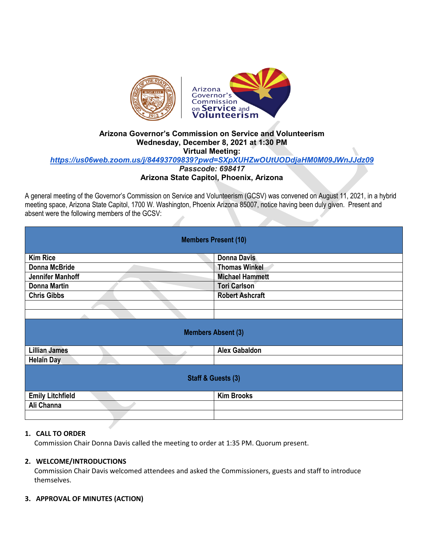

## **Arizona Governor's Commission on Service and Volunteerism Wednesday, December 8, 2021 at 1:30 PM Virtual Meeting:**  *<https://us06web.zoom.us/j/84493709839?pwd=SXpXUHZwOUtUODdjaHM0M09JWnJJdz09> Passcode: 698417*

# **Arizona State Capitol, Phoenix, Arizona**

A general meeting of the Governor's Commission on Service and Volunteerism (GCSV) was convened on August 11, 2021, in a hybrid meeting space, Arizona State Capitol, 1700 W. Washington, Phoenix Arizona 85007, notice having been duly given. Present and absent were the following members of the GCSV:

| <b>Members Present (10)</b> |                        |
|-----------------------------|------------------------|
| <b>Kim Rice</b>             | <b>Donna Davis</b>     |
| Donna McBride               | <b>Thomas Winkel</b>   |
| <b>Jennifer Manhoff</b>     | <b>Michael Hammett</b> |
| <b>Donna Martin</b>         | <b>Tori Carlson</b>    |
| <b>Chris Gibbs</b>          | <b>Robert Ashcraft</b> |
|                             |                        |
|                             |                        |
| <b>Members Absent (3)</b>   |                        |
| <b>Lillian James</b>        | <b>Alex Gabaldon</b>   |
| <b>Helain Day</b>           |                        |
| Staff & Guests (3)          |                        |
| <b>Emily Litchfield</b>     | <b>Kim Brooks</b>      |
| Ali Channa                  |                        |
|                             |                        |

## **1. CALL TO ORDER**

Commission Chair Donna Davis called the meeting to order at 1:35 PM. Quorum present.

### **2. WELCOME/INTRODUCTIONS**

Commission Chair Davis welcomed attendees and asked the Commissioners, guests and staff to introduce themselves.

#### **3. APPROVAL OF MINUTES (ACTION)**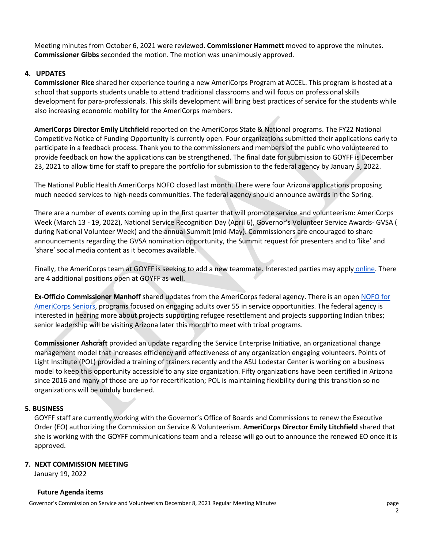Meeting minutes from October 6, 2021 were reviewed. **Commissioner Hammett** moved to approve the minutes. **Commissioner Gibbs** seconded the motion. The motion was unanimously approved.

### **4. UPDATES**

**Commissioner Rice** shared her experience touring a new AmeriCorps Program at ACCEL. This program is hosted at a school that supports students unable to attend traditional classrooms and will focus on professional skills development for para-professionals. This skills development will bring best practices of service for the students while also increasing economic mobility for the AmeriCorps members.

**AmeriCorps Director Emily Litchfield** reported on the AmeriCorps State & National programs. The FY22 National Competitive Notice of Funding Opportunity is currently open. Four organizations submitted their applications early to participate in a feedback process. Thank you to the commissioners and members of the public who volunteered to provide feedback on how the applications can be strengthened. The final date for submission to GOYFF is December 23, 2021 to allow time for staff to prepare the portfolio for submission to the federal agency by January 5, 2022.

The National Public Health AmeriCorps NOFO closed last month. There were four Arizona applications proposing much needed services to high-needs communities. The federal agency should announce awards in the Spring.

There are a number of events coming up in the first quarter that will promote service and volunteerism: AmeriCorps Week (March 13 - 19, 2022), National Service Recognition Day (April 6), Governor's Volunteer Service Awards- GVSA ( during National Volunteer Week) and the annual Summit (mid-May). Commissioners are encouraged to share announcements regarding the GVSA nomination opportunity, the Summit request for presenters and to 'like' and 'share' social media content as it becomes available.

Finally, the AmeriCorps team at GOYFF is seeking to add a new teammate. Interested parties may apply [online.](https://www.azstatejobs.gov/jobs/search) There are 4 additional positions open at GOYFF as well.

**Ex-Officio Commissioner Manhoff** shared updates from the AmeriCorps federal agency. There is an ope[n NOFO for](https://americorps.gov/funding-opportunity/fy-2022-americorps-seniors-american-rescue-plan-senior-demonstration-program)  [AmeriCorps Seniors,](https://americorps.gov/funding-opportunity/fy-2022-americorps-seniors-american-rescue-plan-senior-demonstration-program) programs focused on engaging adults over 55 in service opportunities. The federal agency is interested in hearing more about projects supporting refugee resettlement and projects supporting Indian tribes; senior leadership will be visiting Arizona later this month to meet with tribal programs.

**Commissioner Ashcraft** provided an update regarding the Service Enterprise Initiative, an organizational change management model that increases efficiency and effectiveness of any organization engaging volunteers. Points of Light Institute (POL) provided a training of trainers recently and the ASU Lodestar Center is working on a business model to keep this opportunity accessible to any size organization. Fifty organizations have been certified in Arizona since 2016 and many of those are up for recertification; POL is maintaining flexibility during this transition so no organizations will be unduly burdened.

#### **5. BUSINESS**

GOYFF staff are currently working with the Governor's Office of Boards and Commissions to renew the Executive Order (EO) authorizing the Commission on Service & Volunteerism. **AmeriCorps Director Emily Litchfield** shared that she is working with the GOYFF communications team and a release will go out to announce the renewed EO once it is approved.

#### **7. NEXT COMMISSION MEETING**

January 19, 2022

#### **Future Agenda items**

Governor's Commission on Service and Volunteerism December 8, 2021 Regular Meeting Minutes page